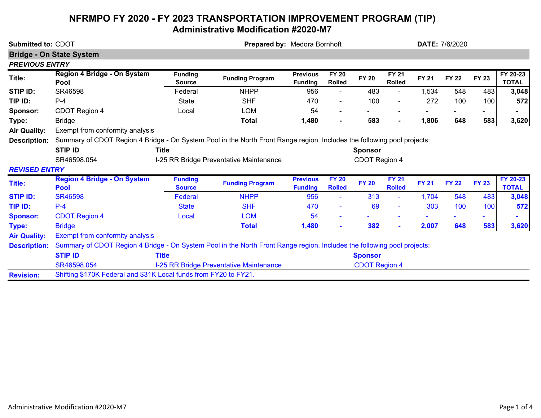## **NFRMPO FY 2020 - FY 2023 TRANSPORTATION IMPROVEMENT PROGRAM (TIP) Administrative Modification #2020-M7**

| Submitted to: CDOT    |                                                                                                                         | Prepared by: Medora Bornhoft                             |                                         |                                   |                               |                      | <b>DATE: 7/6/2020</b>         |              |              |              |                          |
|-----------------------|-------------------------------------------------------------------------------------------------------------------------|----------------------------------------------------------|-----------------------------------------|-----------------------------------|-------------------------------|----------------------|-------------------------------|--------------|--------------|--------------|--------------------------|
|                       | <b>Bridge - On State System</b>                                                                                         |                                                          |                                         |                                   |                               |                      |                               |              |              |              |                          |
| <b>PREVIOUS ENTRY</b> |                                                                                                                         |                                                          |                                         |                                   |                               |                      |                               |              |              |              |                          |
| Title:                | Region 4 Bridge - On System<br>Pool                                                                                     | <b>Funding</b><br><b>Source</b>                          | <b>Funding Program</b>                  | <b>Previous</b><br><b>Funding</b> | <b>FY 20</b><br><b>Rolled</b> | <b>FY 20</b>         | <b>FY 21</b><br><b>Rolled</b> | <b>FY 21</b> | <b>FY 22</b> | <b>FY 23</b> | FY 20-23<br><b>TOTAL</b> |
| <b>STIP ID:</b>       | SR46598                                                                                                                 | Federal                                                  | <b>NHPP</b>                             | 956                               | $\blacksquare$                | 483                  | $\blacksquare$                | 1,534        | 548          | 483          | 3,048                    |
| TIP ID:               | $P-4$                                                                                                                   | <b>State</b>                                             | <b>SHF</b>                              | 470                               |                               | 100                  |                               | 272          | 100          | 100          | 572                      |
| Sponsor:              | CDOT Region 4                                                                                                           | Local                                                    | <b>LOM</b>                              | 54                                |                               |                      | $\blacksquare$                |              |              |              |                          |
| Type:                 | <b>Bridge</b>                                                                                                           |                                                          | <b>Total</b>                            | 1,480                             |                               | 583                  | $\blacksquare$                | 1,806        | 648          | 583          | 3,620                    |
| <b>Air Quality:</b>   | Exempt from conformity analysis                                                                                         |                                                          |                                         |                                   |                               |                      |                               |              |              |              |                          |
| <b>Description:</b>   | Summary of CDOT Region 4 Bridge - On System Pool in the North Front Range region. Includes the following pool projects: |                                                          |                                         |                                   |                               |                      |                               |              |              |              |                          |
|                       | <b>STIP ID</b>                                                                                                          |                                                          | <b>Sponsor</b>                          |                                   |                               |                      |                               |              |              |              |                          |
|                       | SR46598.054                                                                                                             | CDOT Region 4<br>I-25 RR Bridge Preventative Maintenance |                                         |                                   |                               |                      |                               |              |              |              |                          |
| <b>REVISED ENTRY</b>  |                                                                                                                         |                                                          |                                         |                                   |                               |                      |                               |              |              |              |                          |
| Title:                | <b>Region 4 Bridge - On System</b><br><b>Pool</b>                                                                       | <b>Funding</b><br><b>Source</b>                          | <b>Funding Program</b>                  | <b>Previous</b><br><b>Funding</b> | <b>FY 20</b><br><b>Rolled</b> | <b>FY 20</b>         | <b>FY 21</b><br><b>Rolled</b> | <b>FY 21</b> | <b>FY 22</b> | <b>FY 23</b> | FY 20-23<br><b>TOTAL</b> |
| <b>STIP ID:</b>       | <b>SR46598</b>                                                                                                          | Federal                                                  | <b>NHPP</b>                             | 956                               |                               | 313                  | $\sim$                        | 1,704        | 548          | 483          | 3,048                    |
| TIP ID:               | $P-4$                                                                                                                   | <b>State</b>                                             | <b>SHF</b>                              | 470                               |                               | 69                   |                               | 303          | 100          | 100          | 572                      |
| <b>Sponsor:</b>       | <b>CDOT Region 4</b>                                                                                                    | Local                                                    | <b>LOM</b>                              | 54                                |                               |                      |                               |              |              |              |                          |
| Type:                 | <b>Bridge</b>                                                                                                           |                                                          | <b>Total</b>                            | 1,480                             |                               | 382                  | $\mathbf{r}$                  | 2,007        | 648          | 583          | 3,620                    |
| <b>Air Quality:</b>   | <b>Exempt from conformity analysis</b>                                                                                  |                                                          |                                         |                                   |                               |                      |                               |              |              |              |                          |
| <b>Description:</b>   | Summary of CDOT Region 4 Bridge - On System Pool in the North Front Range region. Includes the following pool projects: |                                                          |                                         |                                   |                               |                      |                               |              |              |              |                          |
|                       | <b>STIP ID</b>                                                                                                          | <b>Title</b>                                             |                                         |                                   |                               | <b>Sponsor</b>       |                               |              |              |              |                          |
|                       | SR46598.054                                                                                                             |                                                          | I-25 RR Bridge Preventative Maintenance |                                   |                               | <b>CDOT Region 4</b> |                               |              |              |              |                          |
| <b>Revision:</b>      | Shifting \$170K Federal and \$31K Local funds from FY20 to FY21.                                                        |                                                          |                                         |                                   |                               |                      |                               |              |              |              |                          |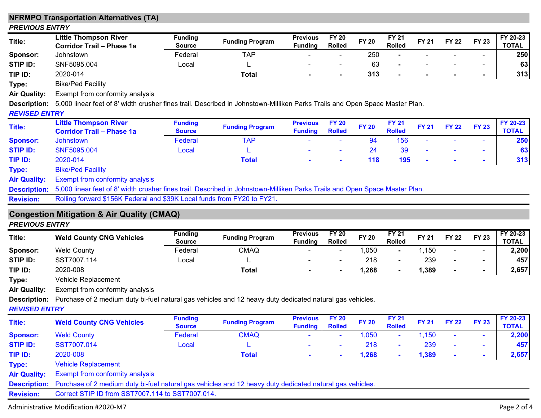|                       | <b>NFRMPO Transportation Alternatives (TA)</b>                                                                              |                                 |                        |                                   |                               |              |                               |              |              |                |                          |
|-----------------------|-----------------------------------------------------------------------------------------------------------------------------|---------------------------------|------------------------|-----------------------------------|-------------------------------|--------------|-------------------------------|--------------|--------------|----------------|--------------------------|
| <b>PREVIOUS ENTRY</b> |                                                                                                                             |                                 |                        |                                   |                               |              |                               |              |              |                |                          |
| Title:                | <b>Little Thompson River</b><br><b>Corridor Trail - Phase 1a</b>                                                            | <b>Funding</b><br><b>Source</b> | <b>Funding Program</b> | <b>Previous</b><br><b>Funding</b> | <b>FY 20</b><br><b>Rolled</b> | <b>FY 20</b> | <b>FY 21</b><br><b>Rolled</b> | <b>FY 21</b> | <b>FY 22</b> | <b>FY 23</b>   | FY 20-23<br><b>TOTAL</b> |
| Sponsor:              | Johnstown                                                                                                                   | Federal                         | <b>TAP</b>             |                                   | $\blacksquare$                | 250          |                               |              |              | $\blacksquare$ | 250                      |
| STIP ID:              | SNF5095.004                                                                                                                 | Local                           |                        |                                   |                               | 63           |                               |              |              |                | 63                       |
| TIP ID:               | 2020-014                                                                                                                    |                                 | <b>Total</b>           | ٠                                 |                               | 313          |                               |              |              | $\blacksquare$ | 313                      |
| Type:                 | <b>Bike/Ped Facility</b>                                                                                                    |                                 |                        |                                   |                               |              |                               |              |              |                |                          |
| <b>Air Quality:</b>   | Exempt from conformity analysis                                                                                             |                                 |                        |                                   |                               |              |                               |              |              |                |                          |
| <b>Description:</b>   | 5,000 linear feet of 8' width crusher fines trail. Described in Johnstown-Milliken Parks Trails and Open Space Master Plan. |                                 |                        |                                   |                               |              |                               |              |              |                |                          |
| <b>REVISED ENTRY</b>  |                                                                                                                             |                                 |                        |                                   |                               |              |                               |              |              |                |                          |
| Title:                | <b>Little Thompson River</b><br><b>Corridor Trail - Phase 1a</b>                                                            | <b>Funding</b><br><b>Source</b> | <b>Funding Program</b> | <b>Previous</b><br><b>Funding</b> | <b>FY 20</b><br><b>Rolled</b> | <b>FY 20</b> | <b>FY 21</b><br><b>Rolled</b> | <b>FY 21</b> | <b>FY 22</b> | <b>FY 23</b>   | FY 20-23<br><b>TOTAL</b> |
| <b>Sponsor:</b>       | Johnstown                                                                                                                   | Federal                         | <b>TAP</b>             |                                   |                               | 94           | 156                           |              |              |                | 250                      |
| <b>STIP ID:</b>       | SNF5095.004                                                                                                                 | Local                           |                        |                                   |                               | 24           | 39                            |              |              | $\blacksquare$ | 63                       |
| TIP ID:               | 2020-014                                                                                                                    |                                 | <b>Total</b>           | ٠                                 |                               | 118          | 195                           |              |              | $\blacksquare$ | 313                      |
| Type:                 | <b>Bike/Ped Facility</b>                                                                                                    |                                 |                        |                                   |                               |              |                               |              |              |                |                          |
| <b>Air Quality:</b>   | <b>Exempt from conformity analysis</b>                                                                                      |                                 |                        |                                   |                               |              |                               |              |              |                |                          |
| <b>Description:</b>   | 5,000 linear feet of 8' width crusher fines trail. Described in Johnstown-Milliken Parks Trails and Open Space Master Plan. |                                 |                        |                                   |                               |              |                               |              |              |                |                          |
| <b>Revision:</b>      | Rolling forward \$156K Federal and \$39K Local funds from FY20 to FY21.                                                     |                                 |                        |                                   |                               |              |                               |              |              |                |                          |
| <b>PREVIOUS ENTRY</b> | <b>Congestion Mitigation &amp; Air Quality (CMAQ)</b>                                                                       |                                 |                        |                                   |                               |              |                               |              |              |                |                          |
| Title:                | <b>Weld County CNG Vehicles</b>                                                                                             | <b>Funding</b><br><b>Source</b> | <b>Funding Program</b> | <b>Previous</b><br><b>Funding</b> | <b>FY 20</b><br><b>Rolled</b> | <b>FY 20</b> | <b>FY 21</b><br><b>Rolled</b> | <b>FY 21</b> | <b>FY 22</b> | <b>FY 23</b>   | FY 20-23<br><b>TOTAL</b> |
| Sponsor:              | <b>Weld County</b>                                                                                                          | Federal                         | <b>CMAQ</b>            |                                   |                               | 1,050        |                               | 1,150        |              |                | 2,200                    |
| <b>STIP ID:</b>       | SST7007.114                                                                                                                 | Local                           |                        |                                   |                               | 218          | $\blacksquare$                | 239          |              | $\blacksquare$ | 457                      |
| TIP ID:               | 2020-008                                                                                                                    |                                 | <b>Total</b>           |                                   |                               | 1,268        |                               | 1,389        |              | $\blacksquare$ | 2,657                    |
| Type:                 | Vehicle Replacement                                                                                                         |                                 |                        |                                   |                               |              |                               |              |              |                |                          |
| <b>Air Quality:</b>   | Exempt from conformity analysis                                                                                             |                                 |                        |                                   |                               |              |                               |              |              |                |                          |
| <b>Description:</b>   | Purchase of 2 medium duty bi-fuel natural gas vehicles and 12 heavy duty dedicated natural gas vehicles.                    |                                 |                        |                                   |                               |              |                               |              |              |                |                          |
| <b>REVISED ENTRY</b>  |                                                                                                                             |                                 |                        |                                   |                               |              |                               |              |              |                |                          |
| <b>Title:</b>         | <b>Weld County CNG Vehicles</b>                                                                                             | <b>Funding</b><br><b>Source</b> | <b>Funding Program</b> | Previous FY 20<br><b>Funding</b>  | <b>Rolled</b>                 | <b>FY 20</b> | <b>FY 21</b><br><b>Rolled</b> | <b>FY 21</b> | <b>FY 22</b> | <b>FY 23</b>   | FY 20-23<br><b>TOTAL</b> |
| <b>Sponsor:</b>       | <b>Weld County</b>                                                                                                          | Federal                         | <b>CMAQ</b>            |                                   |                               | 1,050        |                               | 1,150        |              | $\sim$         | 2,200                    |
| <b>STIP ID:</b>       | SST7007.014                                                                                                                 | Local                           |                        |                                   |                               | 218          |                               | 239          |              | ж.             | 457                      |
| TIP ID:               | 2020-008                                                                                                                    |                                 | <b>Total</b>           | ۰                                 |                               | 1,268        |                               | 1,389        |              | ٠              | 2,657                    |
| Type:                 | <b>Vehicle Replacement</b>                                                                                                  |                                 |                        |                                   |                               |              |                               |              |              |                |                          |
| <b>Air Quality:</b>   | Exempt from conformity analysis                                                                                             |                                 |                        |                                   |                               |              |                               |              |              |                |                          |
| <b>Description:</b>   | Purchase of 2 medium duty bi-fuel natural gas vehicles and 12 heavy duty dedicated natural gas vehicles.                    |                                 |                        |                                   |                               |              |                               |              |              |                |                          |
| <b>Revision:</b>      | Correct STIP ID from SST7007.114 to SST7007.014.                                                                            |                                 |                        |                                   |                               |              |                               |              |              |                |                          |
|                       | Administrative Modification #2020-M7                                                                                        |                                 |                        |                                   |                               |              |                               |              |              |                | Page 2 of 4              |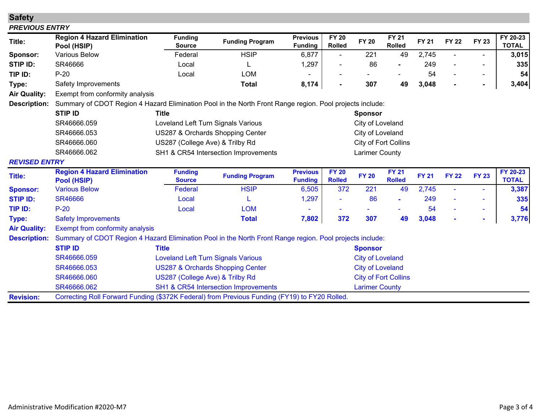| <b>Safety</b>         |                                                                                                          |                                             |                                      |                                   |                               |                       |                               |              |              |                |                          |
|-----------------------|----------------------------------------------------------------------------------------------------------|---------------------------------------------|--------------------------------------|-----------------------------------|-------------------------------|-----------------------|-------------------------------|--------------|--------------|----------------|--------------------------|
| <b>PREVIOUS ENTRY</b> |                                                                                                          |                                             |                                      |                                   |                               |                       |                               |              |              |                |                          |
| Title:                | <b>Region 4 Hazard Elimination</b><br>Pool (HSIP)                                                        | <b>Funding</b><br><b>Source</b>             | <b>Funding Program</b>               | <b>Previous</b><br><b>Funding</b> | <b>FY 20</b><br>Rolled        | <b>FY 20</b>          | <b>FY 21</b><br><b>Rolled</b> | <b>FY 21</b> | <b>FY 22</b> | <b>FY 23</b>   | FY 20-23<br><b>TOTAL</b> |
| Sponsor:              | <b>Various Below</b>                                                                                     | Federal                                     | <b>HSIP</b>                          | 6,877                             | $\blacksquare$                | 221                   | 49                            | 2,745        |              | $\blacksquare$ | 3,015                    |
| STIP ID:              | SR46666                                                                                                  | Local                                       |                                      | 1,297                             |                               | 86                    |                               | 249          |              | $\blacksquare$ | 335                      |
| TIP ID:               | $P-20$                                                                                                   | Local                                       | <b>LOM</b>                           |                                   |                               |                       |                               | 54           |              | $\blacksquare$ | 54                       |
| Type:                 | Safety Improvements                                                                                      |                                             | <b>Total</b>                         | 8,174                             |                               | 307                   | 49                            | 3,048        |              | $\blacksquare$ | 3,404                    |
| <b>Air Quality:</b>   | Exempt from conformity analysis                                                                          |                                             |                                      |                                   |                               |                       |                               |              |              |                |                          |
| <b>Description:</b>   | Summary of CDOT Region 4 Hazard Elimination Pool in the North Front Range region. Pool projects include: |                                             |                                      |                                   |                               |                       |                               |              |              |                |                          |
|                       | <b>STIP ID</b>                                                                                           | <b>Title</b>                                |                                      |                                   |                               | <b>Sponsor</b>        |                               |              |              |                |                          |
|                       | SR46666.059                                                                                              |                                             | Loveland Left Turn Signals Various   | City of Loveland                  |                               |                       |                               |              |              |                |                          |
|                       | SR46666.053                                                                                              |                                             | US287 & Orchards Shopping Center     | City of Loveland                  |                               |                       |                               |              |              |                |                          |
|                       | SR46666.060                                                                                              | US287 (College Ave) & Trilby Rd             | City of Fort Collins                 |                                   |                               |                       |                               |              |              |                |                          |
|                       | SR46666.062                                                                                              |                                             | SH1 & CR54 Intersection Improvements | <b>Larimer County</b>             |                               |                       |                               |              |              |                |                          |
| <b>REVISED ENTRY</b>  |                                                                                                          |                                             |                                      |                                   |                               |                       |                               |              |              |                |                          |
| Title:                | <b>Region 4 Hazard Elimination</b><br>Pool (HSIP)                                                        | <b>Funding</b><br><b>Source</b>             | <b>Funding Program</b>               | <b>Previous</b><br><b>Funding</b> | <b>FY 20</b><br><b>Rolled</b> | <b>FY 20</b>          | <b>FY 21</b><br><b>Rolled</b> | <b>FY 21</b> | <b>FY 22</b> | <b>FY 23</b>   | FY 20-23<br><b>TOTAL</b> |
| <b>Sponsor:</b>       | <b>Various Below</b>                                                                                     | Federal                                     | <b>HSIP</b>                          | 6,505                             | 372                           | 221                   | 49                            | 2,745        |              | ۰              | 3,387                    |
| <b>STIP ID:</b>       | <b>SR46666</b>                                                                                           | Local                                       |                                      | 1,297                             |                               | 86                    |                               | 249          |              | ÷              | 335                      |
| TIP ID:               | $P-20$                                                                                                   | Local                                       | <b>LOM</b>                           |                                   |                               |                       |                               | 54           |              | ۰              | 54                       |
| Type:                 | <b>Safety Improvements</b>                                                                               |                                             | <b>Total</b>                         | 7,802                             | 372                           | 307                   | 49                            | 3,048        |              | ۰              | 3,776                    |
| <b>Air Quality:</b>   | <b>Exempt from conformity analysis</b>                                                                   |                                             |                                      |                                   |                               |                       |                               |              |              |                |                          |
| <b>Description:</b>   | Summary of CDOT Region 4 Hazard Elimination Pool in the North Front Range region. Pool projects include: |                                             |                                      |                                   |                               |                       |                               |              |              |                |                          |
|                       | <b>STIP ID</b>                                                                                           | <b>Title</b>                                | <b>Sponsor</b>                       |                                   |                               |                       |                               |              |              |                |                          |
|                       | SR46666.059                                                                                              | <b>Loveland Left Turn Signals Various</b>   | <b>City of Loveland</b>              |                                   |                               |                       |                               |              |              |                |                          |
|                       | SR46666.053                                                                                              | <b>US287 &amp; Orchards Shopping Center</b> | <b>City of Loveland</b>              |                                   |                               |                       |                               |              |              |                |                          |
|                       | SR46666.060                                                                                              | US287 (College Ave) & Trilby Rd             |                                      | <b>City of Fort Collins</b>       |                               |                       |                               |              |              |                |                          |
|                       | SR46666.062                                                                                              |                                             | SH1 & CR54 Intersection Improvements |                                   |                               | <b>Larimer County</b> |                               |              |              |                |                          |
| <b>Revision:</b>      | Correcting Roll Forward Funding (\$372K Federal) from Previous Funding (FY19) to FY20 Rolled.            |                                             |                                      |                                   |                               |                       |                               |              |              |                |                          |